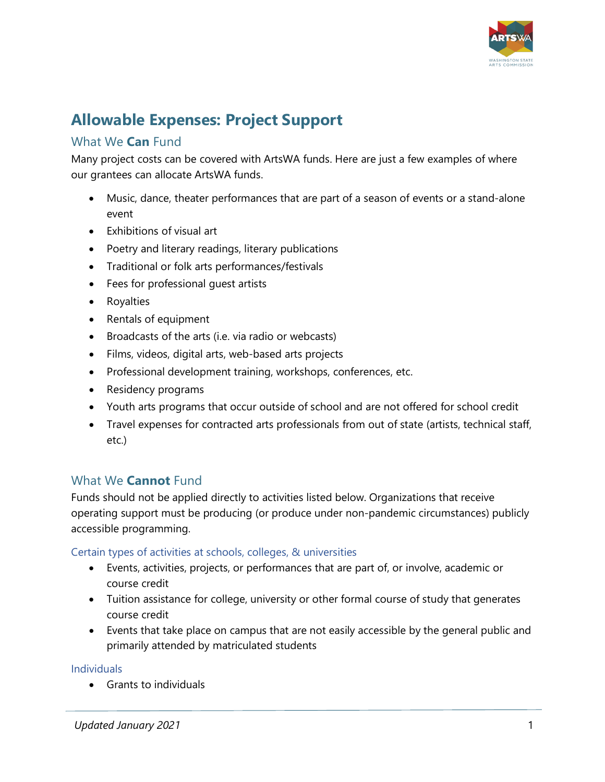

# **Allowable Expenses: Project Support**

# What We **Can** Fund

Many project costs can be covered with ArtsWA funds. Here are just a few examples of where our grantees can allocate ArtsWA funds.

- Music, dance, theater performances that are part of a season of events or a stand-alone event
- Exhibitions of visual art
- Poetry and literary readings, literary publications
- Traditional or folk arts performances/festivals
- Fees for professional guest artists
- Royalties
- Rentals of equipment
- Broadcasts of the arts (i.e. via radio or webcasts)
- Films, videos, digital arts, web-based arts projects
- Professional development training, workshops, conferences, etc.
- Residency programs
- Youth arts programs that occur outside of school and are not offered for school credit
- Travel expenses for contracted arts professionals from out of state (artists, technical staff, etc.)

# What We **Cannot** Fund

Funds should not be applied directly to activities listed below. Organizations that receive operating support must be producing (or produce under non-pandemic circumstances) publicly accessible programming.

## Certain types of activities at schools, colleges, & universities

- Events, activities, projects, or performances that are part of, or involve, academic or course credit
- Tuition assistance for college, university or other formal course of study that generates course credit
- Events that take place on campus that are not easily accessible by the general public and primarily attended by matriculated students

## Individuals

• Grants to individuals